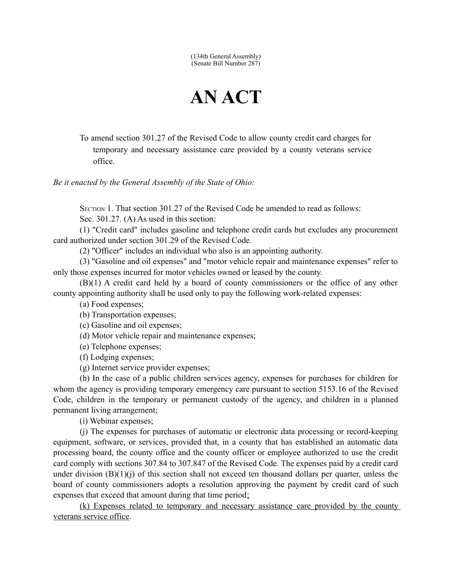(134th General Assembly) (Senate Bill Number 287)

## **AN ACT**

To amend section 301.27 of the Revised Code to allow county credit card charges for temporary and necessary assistance care provided by a county veterans service office.

*Be it enacted by the General Assembly of the State of Ohio:*

SECTION 1. That section 301.27 of the Revised Code be amended to read as follows:

Sec. 301.27. (A) As used in this section:

(1) "Credit card" includes gasoline and telephone credit cards but excludes any procurement card authorized under section 301.29 of the Revised Code.

(2) "Officer" includes an individual who also is an appointing authority.

(3) "Gasoline and oil expenses" and "motor vehicle repair and maintenance expenses" refer to only those expenses incurred for motor vehicles owned or leased by the county.

(B)(1) A credit card held by a board of county commissioners or the office of any other county appointing authority shall be used only to pay the following work-related expenses:

(a) Food expenses;

(b) Transportation expenses;

(c) Gasoline and oil expenses;

(d) Motor vehicle repair and maintenance expenses;

(e) Telephone expenses;

(f) Lodging expenses;

(g) Internet service provider expenses;

(h) In the case of a public children services agency, expenses for purchases for children for whom the agency is providing temporary emergency care pursuant to section 5153.16 of the Revised Code, children in the temporary or permanent custody of the agency, and children in a planned permanent living arrangement;

(i) Webinar expenses;

(j) The expenses for purchases of automatic or electronic data processing or record-keeping equipment, software, or services, provided that, in a county that has established an automatic data processing board, the county office and the county officer or employee authorized to use the credit card comply with sections 307.84 to 307.847 of the Revised Code. The expenses paid by a credit card under division (B)(1)(j) of this section shall not exceed ten thousand dollars per quarter, unless the board of county commissioners adopts a resolution approving the payment by credit card of such expenses that exceed that amount during that time period;

 (k) Expenses related to temporary and necessary assistance care provided by the county veterans service office.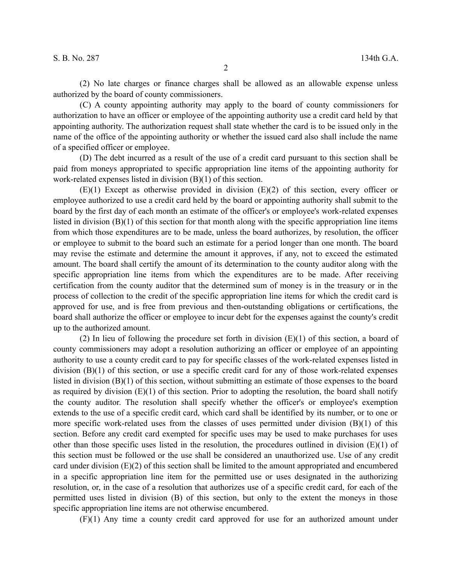(2) No late charges or finance charges shall be allowed as an allowable expense unless authorized by the board of county commissioners.

(C) A county appointing authority may apply to the board of county commissioners for authorization to have an officer or employee of the appointing authority use a credit card held by that appointing authority. The authorization request shall state whether the card is to be issued only in the name of the office of the appointing authority or whether the issued card also shall include the name of a specified officer or employee.

(D) The debt incurred as a result of the use of a credit card pursuant to this section shall be paid from moneys appropriated to specific appropriation line items of the appointing authority for work-related expenses listed in division (B)(1) of this section.

(E)(1) Except as otherwise provided in division (E)(2) of this section, every officer or employee authorized to use a credit card held by the board or appointing authority shall submit to the board by the first day of each month an estimate of the officer's or employee's work-related expenses listed in division (B)(1) of this section for that month along with the specific appropriation line items from which those expenditures are to be made, unless the board authorizes, by resolution, the officer or employee to submit to the board such an estimate for a period longer than one month. The board may revise the estimate and determine the amount it approves, if any, not to exceed the estimated amount. The board shall certify the amount of its determination to the county auditor along with the specific appropriation line items from which the expenditures are to be made. After receiving certification from the county auditor that the determined sum of money is in the treasury or in the process of collection to the credit of the specific appropriation line items for which the credit card is approved for use, and is free from previous and then-outstanding obligations or certifications, the board shall authorize the officer or employee to incur debt for the expenses against the county's credit up to the authorized amount.

(2) In lieu of following the procedure set forth in division (E)(1) of this section, a board of county commissioners may adopt a resolution authorizing an officer or employee of an appointing authority to use a county credit card to pay for specific classes of the work-related expenses listed in division (B)(1) of this section, or use a specific credit card for any of those work-related expenses listed in division (B)(1) of this section, without submitting an estimate of those expenses to the board as required by division  $(E)(1)$  of this section. Prior to adopting the resolution, the board shall notify the county auditor. The resolution shall specify whether the officer's or employee's exemption extends to the use of a specific credit card, which card shall be identified by its number, or to one or more specific work-related uses from the classes of uses permitted under division  $(B)(1)$  of this section. Before any credit card exempted for specific uses may be used to make purchases for uses other than those specific uses listed in the resolution, the procedures outlined in division  $(E)(1)$  of this section must be followed or the use shall be considered an unauthorized use. Use of any credit card under division  $(E)(2)$  of this section shall be limited to the amount appropriated and encumbered in a specific appropriation line item for the permitted use or uses designated in the authorizing resolution, or, in the case of a resolution that authorizes use of a specific credit card, for each of the permitted uses listed in division (B) of this section, but only to the extent the moneys in those specific appropriation line items are not otherwise encumbered.

(F)(1) Any time a county credit card approved for use for an authorized amount under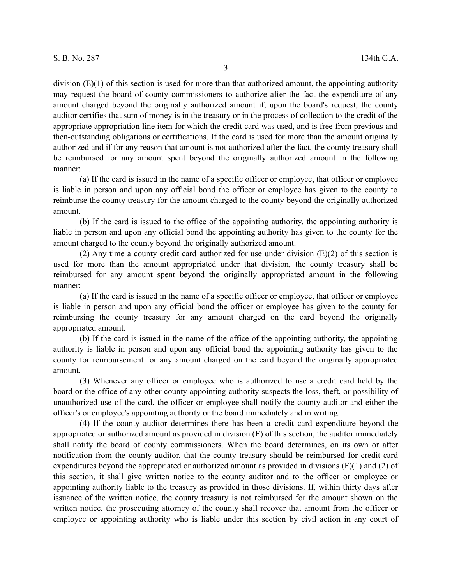division (E)(1) of this section is used for more than that authorized amount, the appointing authority may request the board of county commissioners to authorize after the fact the expenditure of any amount charged beyond the originally authorized amount if, upon the board's request, the county auditor certifies that sum of money is in the treasury or in the process of collection to the credit of the appropriate appropriation line item for which the credit card was used, and is free from previous and then-outstanding obligations or certifications. If the card is used for more than the amount originally authorized and if for any reason that amount is not authorized after the fact, the county treasury shall be reimbursed for any amount spent beyond the originally authorized amount in the following manner:

(a) If the card is issued in the name of a specific officer or employee, that officer or employee is liable in person and upon any official bond the officer or employee has given to the county to reimburse the county treasury for the amount charged to the county beyond the originally authorized amount.

(b) If the card is issued to the office of the appointing authority, the appointing authority is liable in person and upon any official bond the appointing authority has given to the county for the amount charged to the county beyond the originally authorized amount.

(2) Any time a county credit card authorized for use under division (E)(2) of this section is used for more than the amount appropriated under that division, the county treasury shall be reimbursed for any amount spent beyond the originally appropriated amount in the following manner:

(a) If the card is issued in the name of a specific officer or employee, that officer or employee is liable in person and upon any official bond the officer or employee has given to the county for reimbursing the county treasury for any amount charged on the card beyond the originally appropriated amount.

(b) If the card is issued in the name of the office of the appointing authority, the appointing authority is liable in person and upon any official bond the appointing authority has given to the county for reimbursement for any amount charged on the card beyond the originally appropriated amount.

(3) Whenever any officer or employee who is authorized to use a credit card held by the board or the office of any other county appointing authority suspects the loss, theft, or possibility of unauthorized use of the card, the officer or employee shall notify the county auditor and either the officer's or employee's appointing authority or the board immediately and in writing.

(4) If the county auditor determines there has been a credit card expenditure beyond the appropriated or authorized amount as provided in division (E) of this section, the auditor immediately shall notify the board of county commissioners. When the board determines, on its own or after notification from the county auditor, that the county treasury should be reimbursed for credit card expenditures beyond the appropriated or authorized amount as provided in divisions (F)(1) and (2) of this section, it shall give written notice to the county auditor and to the officer or employee or appointing authority liable to the treasury as provided in those divisions. If, within thirty days after issuance of the written notice, the county treasury is not reimbursed for the amount shown on the written notice, the prosecuting attorney of the county shall recover that amount from the officer or employee or appointing authority who is liable under this section by civil action in any court of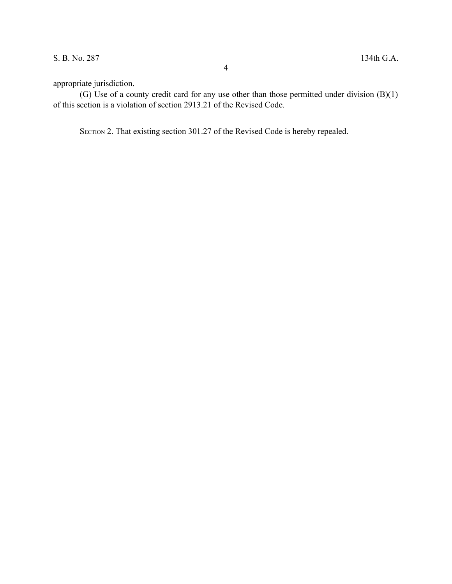appropriate jurisdiction.

(G) Use of a county credit card for any use other than those permitted under division  $(B)(1)$ of this section is a violation of section 2913.21 of the Revised Code.

4

SECTION 2. That existing section 301.27 of the Revised Code is hereby repealed.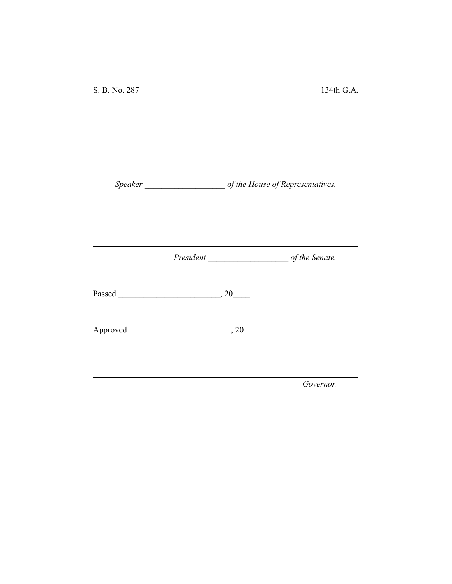*Speaker \_\_\_\_\_\_\_\_\_\_\_\_\_\_\_\_\_\_\_ of the House of Representatives.*

*President \_\_\_\_\_\_\_\_\_\_\_\_\_\_\_\_\_\_\_ of the Senate.*

Passed \_\_\_\_\_\_\_\_\_\_\_\_\_\_\_\_\_\_\_\_\_\_\_\_, 20\_\_\_\_

Approved \_\_\_\_\_\_\_\_\_\_\_\_\_\_\_\_\_\_\_\_\_\_\_\_, 20\_\_\_\_

*Governor.*